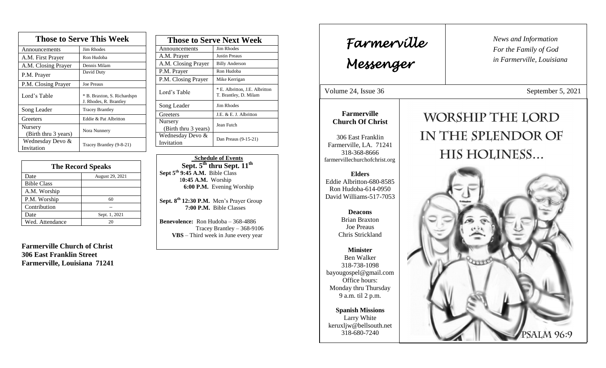| <b>Those to Serve This Week</b> |                                                       |  |
|---------------------------------|-------------------------------------------------------|--|
| Announcements                   | <b>Jim Rhodes</b>                                     |  |
| A.M. First Prayer               | Ron Hudoba                                            |  |
| A.M. Closing Prayer             | Dennis Milam                                          |  |
| P.M. Prayer                     | David Duty                                            |  |
| P.M. Closing Prayer             | <b>Joe Preaus</b>                                     |  |
| Lord's Table                    | * B. Braxton, S. Richardspn<br>J. Rhodes, R. Brantley |  |
| Song Leader                     | <b>Tracey Brantley</b>                                |  |
| Greeters                        | Eddie & Pat Albritton                                 |  |
| Nursery<br>(Birth thru 3 years) | Nora Nunnery                                          |  |
| Wednesday Devo &<br>Invitation  | Tracey Brantley (9-8-21)                              |  |

| <b>The Record Speaks</b> |                 |
|--------------------------|-----------------|
| Date                     | August 29, 2021 |
| <b>Bible Class</b>       |                 |
| A.M. Worship             |                 |
| P.M. Worship             | 60              |
| Contribution             |                 |
| Date                     | Sept. 1, 2021   |
| Wed. Attendance          | 20              |

**Farmerville Church of Christ 306 East Franklin Street Farmerville, Louisiana 71241**

| <b>Those to Serve Next Week</b> |                                                         |
|---------------------------------|---------------------------------------------------------|
| Announcements                   | Jim Rhodes                                              |
| A.M. Prayer                     | <b>Justin Preaus</b>                                    |
| A.M. Closing Prayer             | <b>Billy Anderson</b>                                   |
| P.M. Prayer                     | Ron Hudoba                                              |
| P.M. Closing Prayer             | Mike Kerrigan                                           |
| Lord's Table                    | * E. Albritton, J.E. Albritton<br>T. Brantley, D. Milam |
| Song Leader                     | Jim Rhodes                                              |
| Greeters                        | J.E. & E. J. Albritton                                  |
| Nursery<br>(Birth thru 3 years) | Jean Futch                                              |
| Wednesday Devo &<br>Invitation  | Dan Preaus (9-15-21)                                    |

 **Schedule of Events Sept. 5th thru Sept. 11th Sept 5th 9:45 A.M.** Bible Class 1**0:45 A.M.** Worship  **6:00 P.M.** Evening Worship

**Sept. 8 th 12:30 P.M.** Men's Prayer Group **7:00 P.M.** Bible Classes

**Benevolence:** Ron Hudoba – 368-4886 Tracey Brantley – 368-9106 **VBS** – Third week in June every year

*News and Information* **Farmerville**  $\begin{bmatrix} \text{News an} \\ \text{For the} \end{bmatrix}$ *For the Family of God in Farmerville, Louisiana Messenger*  Volume 24, Issue 36 September 5, 2021 , 2015 **Farmerville** WORSHIP THE LORD **Church Of Christ** IN THE SPLENDOR OF 306 East Franklin Farmerville, LA. 71241 HIS HOLINESS... 318-368-8666 farmervillechurchofchrist.org **Elders** Eddie Albritton-680-8585 Ron Hudoba-614-0950 David Williams-517-7053 **Deacons**  Brian Braxton Joe Preaus Chris Strickland **Minister** Ben Walker 318-738-1098 bayougospel@gmail.com Office hours: Monday thru Thursday 9 a.m. til 2 p.m. **Spanish Missions** Larry White keruxljw@bellsouth.net 318-680-7240 **PSALM 96:9**